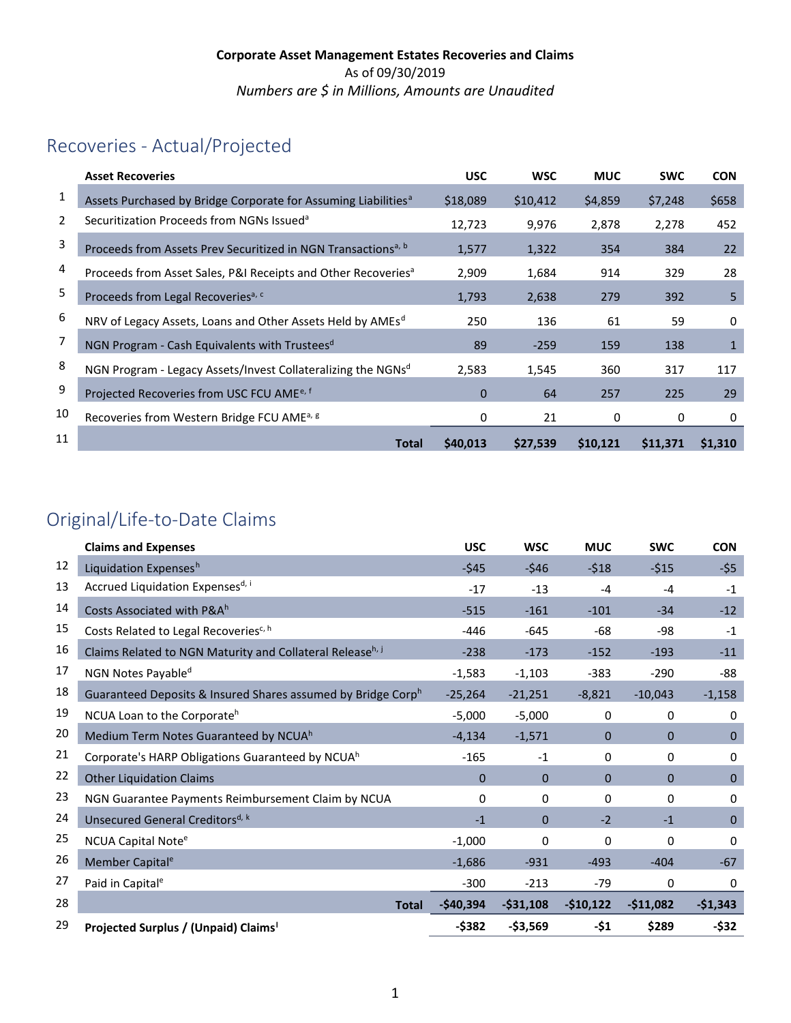# Recoveries - Actual/Projected

|    | <b>Asset Recoveries</b>                                                    | <b>USC</b>  | <b>WSC</b> | <b>MUC</b> | <b>SWC</b> | <b>CON</b>   |
|----|----------------------------------------------------------------------------|-------------|------------|------------|------------|--------------|
| 1  | Assets Purchased by Bridge Corporate for Assuming Liabilities <sup>a</sup> | \$18,089    | \$10,412   | \$4,859    | \$7,248    | \$658        |
| 2  | Securitization Proceeds from NGNs Issued <sup>a</sup>                      | 12,723      | 9,976      | 2,878      | 2,278      | 452          |
| 3  | Proceeds from Assets Prev Securitized in NGN Transactions <sup>a, b</sup>  | 1,577       | 1,322      | 354        | 384        | 22           |
| 4  | Proceeds from Asset Sales, P&I Receipts and Other Recoveries <sup>a</sup>  | 2,909       | 1,684      | 914        | 329        | 28           |
| 5  | Proceeds from Legal Recoveries <sup>a, c</sup>                             | 1,793       | 2,638      | 279        | 392        | 5            |
| 6  | NRV of Legacy Assets, Loans and Other Assets Held by AMEs <sup>d</sup>     | 250         | 136        | 61         | 59         | 0            |
| 7  | NGN Program - Cash Equivalents with Trustees <sup>d</sup>                  | 89          | $-259$     | 159        | 138        | $\mathbf{1}$ |
| 8  | NGN Program - Legacy Assets/Invest Collateralizing the NGNsd               | 2,583       | 1,545      | 360        | 317        | 117          |
| 9  | Projected Recoveries from USC FCU AME <sup>e, f</sup>                      | $\mathbf 0$ | 64         | 257        | 225        | 29           |
| 10 | Recoveries from Western Bridge FCU AME <sup>a, g</sup>                     | 0           | 21         | 0          | 0          | 0            |
| 11 | <b>Total</b>                                                               | \$40,013    | \$27,539   | \$10,121   | \$11,371   | \$1,310      |

# Original/Life-to-Date Claims

|    | <b>Claims and Expenses</b>                                   | <b>USC</b>  | <b>WSC</b>     | <b>MUC</b>   | <b>SWC</b>     | <b>CON</b>   |
|----|--------------------------------------------------------------|-------------|----------------|--------------|----------------|--------------|
| 12 | Liquidation Expensesh                                        | $-545$      | $-546$         | $-518$       | $-515$         | $-55$        |
| 13 | Accrued Liquidation Expensesd, i                             | $-17$       | $-13$          | $-4$         | $-4$           | $-1$         |
| 14 | Costs Associated with P&Ah                                   | $-515$      | $-161$         | $-101$       | $-34$          | $-12$        |
| 15 | Costs Related to Legal Recoveries <sup>c, h</sup>            | $-446$      | $-645$         | -68          | -98            | $-1$         |
| 16 | Claims Related to NGN Maturity and Collateral Releaseh, j    | $-238$      | $-173$         | $-152$       | $-193$         | $-11$        |
| 17 | NGN Notes Payable <sup>d</sup>                               | $-1,583$    | $-1,103$       | $-383$       | $-290$         | -88          |
| 18 | Guaranteed Deposits & Insured Shares assumed by Bridge Corph | $-25,264$   | $-21,251$      | $-8,821$     | $-10,043$      | $-1,158$     |
| 19 | NCUA Loan to the Corporate <sup>h</sup>                      | $-5,000$    | $-5,000$       | 0            | 0              | 0            |
| 20 | Medium Term Notes Guaranteed by NCUAh                        | $-4,134$    | $-1,571$       | $\mathbf{0}$ | $\mathbf{0}$   | $\mathbf{0}$ |
| 21 | Corporate's HARP Obligations Guaranteed by NCUA <sup>h</sup> | $-165$      | $-1$           | 0            | 0              | 0            |
| 22 | <b>Other Liquidation Claims</b>                              | $\mathbf 0$ | 0              | $\mathbf{0}$ | $\overline{0}$ | $\mathbf{0}$ |
| 23 | NGN Guarantee Payments Reimbursement Claim by NCUA           | 0           | 0              | $\Omega$     | 0              | 0            |
| 24 | Unsecured General Creditors <sup>d, k</sup>                  | $-1$        | $\overline{0}$ | $-2$         | $-1$           | $\mathbf{0}$ |
| 25 | NCUA Capital Note <sup>e</sup>                               | $-1,000$    | $\Omega$       | 0            | 0              | 0            |
| 26 | Member Capital <sup>e</sup>                                  | $-1,686$    | $-931$         | $-493$       | $-404$         | $-67$        |
| 27 | Paid in Capital <sup>e</sup>                                 | $-300$      | $-213$         | $-79$        | $\Omega$       | $\mathbf{0}$ |
| 28 | <b>Total</b>                                                 | -\$40,394   | $-531,108$     | $-$10,122$   | $-$11,082$     | $-$1,343$    |
| 29 | Projected Surplus / (Unpaid) Claims <sup>1</sup>             | $-$ \$382   | $-$3,569$      | -\$1         | \$289          | -\$32        |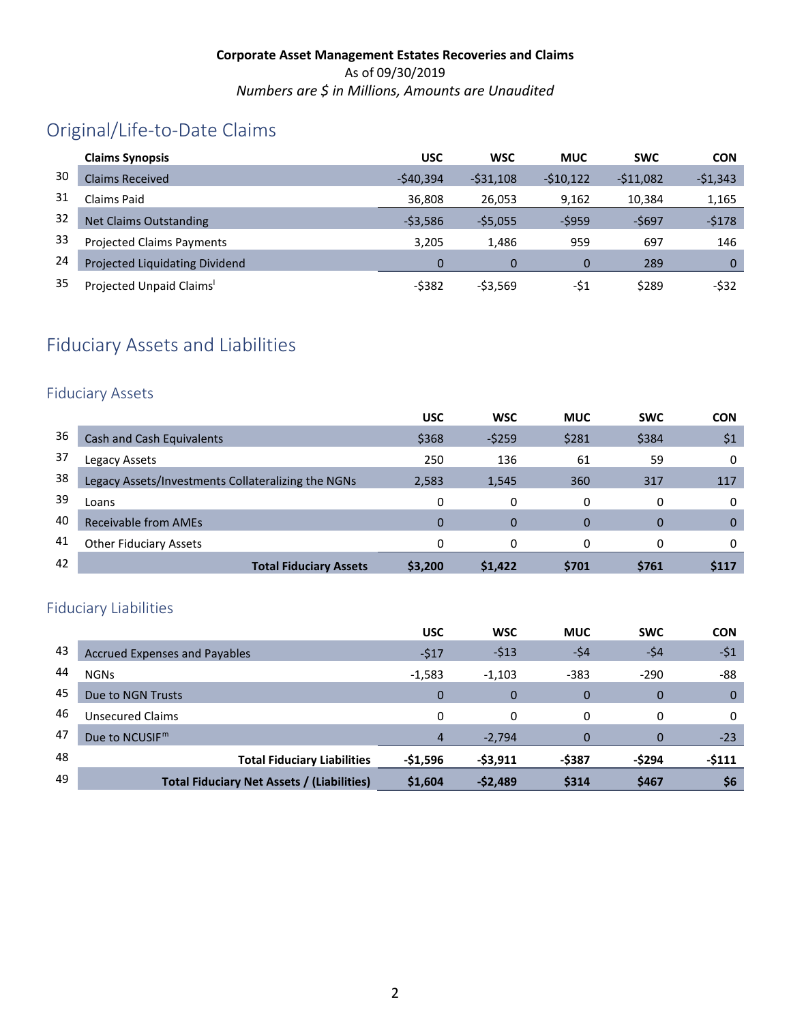# Original/Life-to-Date Claims

|    | <b>Claims Synopsis</b>               | <b>USC</b> | <b>WSC</b> | <b>MUC</b>  | <b>SWC</b> | <b>CON</b>  |
|----|--------------------------------------|------------|------------|-------------|------------|-------------|
| 30 | <b>Claims Received</b>               | $-540.394$ | $-531.108$ | $-510.122$  | $-511.082$ | $-51,343$   |
| 31 | Claims Paid                          | 36,808     | 26,053     | 9,162       | 10,384     | 1,165       |
| 32 | <b>Net Claims Outstanding</b>        | $-53,586$  | $-55,055$  | $-5959$     | -\$697     | $-5178$     |
| 33 | <b>Projected Claims Payments</b>     | 3.205      | 1,486      | 959         | 697        | 146         |
| 24 | Projected Liquidating Dividend       | 0          |            | $\mathbf 0$ | 289        | $\mathbf 0$ |
| 35 | Projected Unpaid Claims <sup>1</sup> | $-5382$    | $-53,569$  | -\$1        | \$289      | $-532$      |

# Fiduciary Assets and Liabilities

### Fiduciary Assets

|    |                                                    | <b>USC</b> | <b>WSC</b> | <b>MUC</b> | <b>SWC</b> | <b>CON</b>  |
|----|----------------------------------------------------|------------|------------|------------|------------|-------------|
| 36 | Cash and Cash Equivalents                          | \$368      | $-5259$    | \$281      | \$384      | \$1         |
| 37 | Legacy Assets                                      | 250        | 136        | 61         | 59         | 0           |
| 38 | Legacy Assets/Investments Collateralizing the NGNs | 2,583      | 1,545      | 360        | 317        | 117         |
| 39 | Loans                                              | 0          | 0          | 0          | 0          | 0           |
| 40 | Receivable from AMEs                               | 0          | $\Omega$   | 0          | 0          | 0           |
| 41 | <b>Other Fiduciary Assets</b>                      | 0          | $\Omega$   | $\Omega$   | 0          |             |
| 42 | <b>Total Fiduciary Assets</b>                      | \$3,200    | \$1,422    | \$701      | \$761      | <b>S117</b> |

## Fiduciary Liabilities

|    |                                                   | <b>USC</b>     | <b>WSC</b> | <b>MUC</b>   | <b>SWC</b> | <b>CON</b>  |
|----|---------------------------------------------------|----------------|------------|--------------|------------|-------------|
| 43 | <b>Accrued Expenses and Payables</b>              | $-517$         | $-513$     | -\$4         | -\$4       | $-51$       |
| 44 | <b>NGNs</b>                                       | $-1,583$       | $-1,103$   | $-383$       | $-290$     | -88         |
| 45 | Due to NGN Trusts                                 | $\Omega$       | $\Omega$   | $\mathbf 0$  | 0          | $\mathbf 0$ |
| 46 | Unsecured Claims                                  | 0              | 0          | 0            | 0          | 0           |
| 47 | Due to NCUSIF <sup>m</sup>                        | $\overline{4}$ | $-2,794$   | $\mathbf{0}$ | 0          | $-23$       |
| 48 | <b>Total Fiduciary Liabilities</b>                | -\$1,596       | $-53,911$  | -\$387       | -\$294     | $-5111$     |
| 49 | <b>Total Fiduciary Net Assets / (Liabilities)</b> | \$1,604        | $-52,489$  | \$314        | \$467      | \$6         |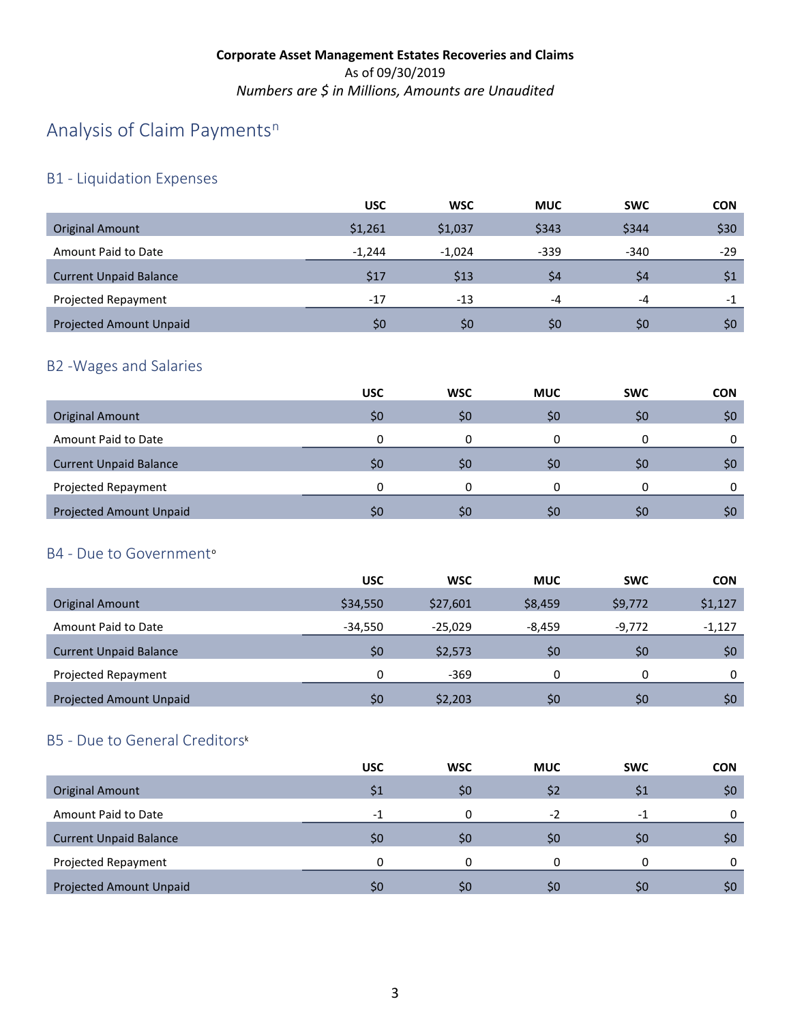# A[n](#page-4-20)alysis of Claim Payments<sup>n</sup>

## B1 - Liquidation Expenses

|                                | <b>USC</b> | <b>WSC</b> | <b>MUC</b> | <b>SWC</b> | <b>CON</b> |
|--------------------------------|------------|------------|------------|------------|------------|
| <b>Original Amount</b>         | \$1,261    | \$1,037    | \$343      | \$344      | \$30       |
| Amount Paid to Date            | $-1.244$   | $-1.024$   | $-339$     | $-340$     | -29        |
| <b>Current Unpaid Balance</b>  | \$17       | \$13       | \$4        | \$4        | \$1        |
| Projected Repayment            | $-17$      | $-13$      | $-4$       | $-4$       | $-1$       |
| <b>Projected Amount Unpaid</b> | \$0        | SO         | \$0        | \$0        | \$0        |

## B2 -Wages and Salaries

|                                | <b>USC</b>   | <b>WSC</b> | <b>MUC</b> | <b>SWC</b> | <b>CON</b> |
|--------------------------------|--------------|------------|------------|------------|------------|
| <b>Original Amount</b>         | \$0          | \$0        | \$0        | S0         | \$0        |
| Amount Paid to Date            | 0            |            |            |            | 0          |
| <b>Current Unpaid Balance</b>  | \$0          | \$C        | \$0        | 50         | \$0        |
| Projected Repayment            | <sup>0</sup> |            |            |            | 0          |
| <b>Projected Amount Unpaid</b> | \$0          | \$C        | \$0        | S0         | \$0        |

#### B4 - Due t[o](#page-4-21) Government<sup>o</sup>

|                                | <b>USC</b> | <b>WSC</b> | <b>MUC</b> | <b>SWC</b> | <b>CON</b> |
|--------------------------------|------------|------------|------------|------------|------------|
| <b>Original Amount</b>         | \$34,550   | \$27,601   | \$8,459    | \$9,772    | \$1,127    |
| Amount Paid to Date            | $-34.550$  | $-25.029$  | -8.459     | $-9.772$   | $-1,127$   |
| <b>Current Unpaid Balance</b>  | \$0        | \$2,573    | \$0        | \$0        | \$0        |
| Projected Repayment            | 0          | $-369$     | 0          | 0          | 0          |
| <b>Projected Amount Unpaid</b> | \$0        | \$2,203    | \$0        | \$0        | \$0        |

## B5 - Due to General Creditor[s](#page-4-19)k

|                                | <b>USC</b>               | <b>WSC</b> | <b>MUC</b> | <b>SWC</b> | <b>CON</b> |
|--------------------------------|--------------------------|------------|------------|------------|------------|
| <b>Original Amount</b>         | S1                       | \$0        | \$2        |            | \$0\$      |
| Amount Paid to Date            | $\overline{\phantom{0}}$ |            | $-2$       | - 1        |            |
| <b>Current Unpaid Balance</b>  | S0                       | \$0        | Ş0         | S0         | \$0        |
| Projected Repayment            | n                        |            | $\Omega$   | 0          |            |
| <b>Projected Amount Unpaid</b> | SO.                      | \$0        | \$0        | S0         | \$0        |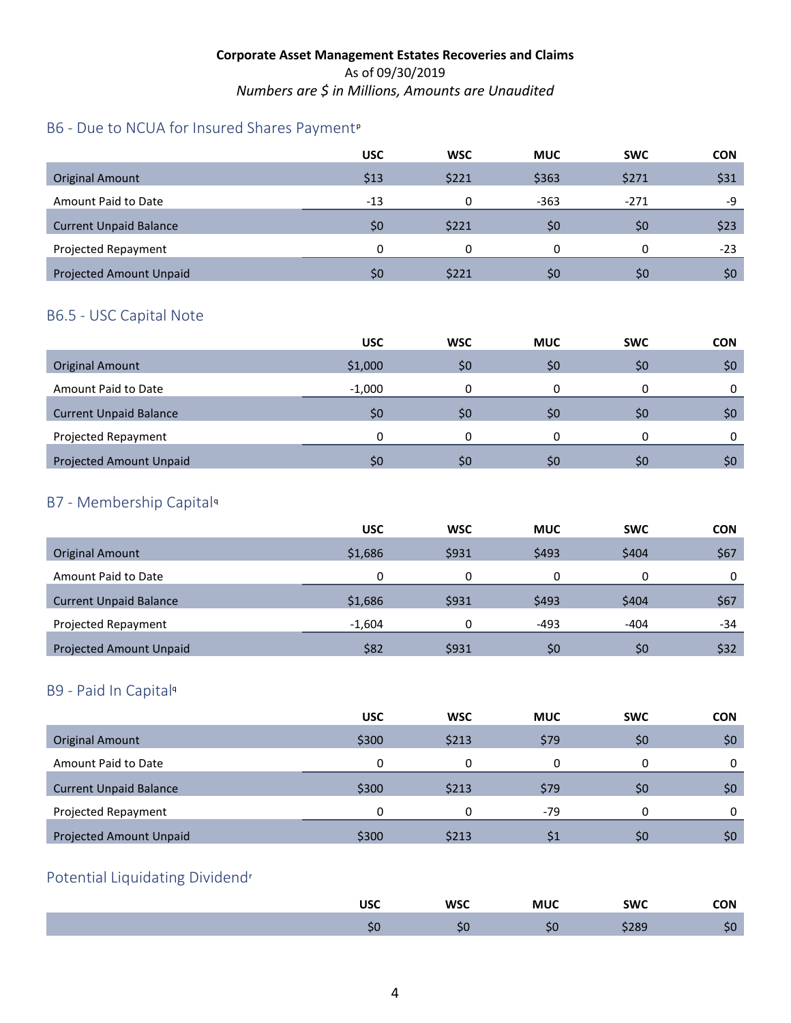## B6 - Due to NCUA for Insured Shares Payment<su[p](#page-4-23)>p</sup>

|                                | <b>USC</b>     | <b>WSC</b> | <b>MUC</b> | <b>SWC</b> | <b>CON</b> |
|--------------------------------|----------------|------------|------------|------------|------------|
| <b>Original Amount</b>         | \$13           | \$221      | \$363      | \$271      | \$31       |
| Amount Paid to Date            | $-13$          |            | $-363$     | $-271$     | -9         |
| <b>Current Unpaid Balance</b>  | \$0            | \$221      | \$0        | \$0        | \$23       |
| Projected Repayment            | 0              |            | 0          | 0          | $-23$      |
| <b>Projected Amount Unpaid</b> | S <sub>0</sub> | \$221      | \$0        | \$0        | \$0        |

### B6.5 - USC Capital Note

|                               | <b>USC</b> | <b>WSC</b> | <b>MUC</b> | <b>SWC</b> | <b>CON</b> |
|-------------------------------|------------|------------|------------|------------|------------|
| <b>Original Amount</b>        | \$1,000    | \$0        | \$0        | \$0        | \$0\$      |
| Amount Paid to Date           | $-1,000$   |            |            |            |            |
| <b>Current Unpaid Balance</b> | \$0        | \$0        | \$0        | \$0        | \$0        |
| Projected Repayment           | 0          |            |            |            |            |
| Projected Amount Unpaid       | \$0        | \$0        | \$0        | \$0        | \$0        |

### B7 - Membership Capital[q](#page-4-24)

|                                | <b>USC</b> | <b>WSC</b> | <b>MUC</b> | <b>SWC</b> | <b>CON</b> |
|--------------------------------|------------|------------|------------|------------|------------|
| <b>Original Amount</b>         | \$1,686    | \$931      | \$493      | \$404      | \$67       |
| Amount Paid to Date            | 0          |            | 0          | 0          |            |
| <b>Current Unpaid Balance</b>  | \$1,686    | \$931      | \$493      | \$404      | \$67       |
| Projected Repayment            | $-1,604$   | 0          | $-493$     | -404       | -34        |
| <b>Projected Amount Unpaid</b> | \$82       | \$931      | \$0        | \$0        | \$32       |

### B9 - Paid In Capita[l](#page-4-22)<sup>q</sup>

|                                | <b>USC</b>   | <b>WSC</b> | <b>MUC</b> | <b>SWC</b> | <b>CON</b> |
|--------------------------------|--------------|------------|------------|------------|------------|
| Original Amount                | \$300        | \$213      | \$79       | \$0        | \$0        |
| Amount Paid to Date            | $\mathbf{0}$ | 0          |            |            | 0          |
| <b>Current Unpaid Balance</b>  | \$300        | \$213      | \$79       | \$0        | \$0        |
| Projected Repayment            | 0            | 0          | $-79$      | 0          | 0          |
| <b>Projected Amount Unpaid</b> | \$300        | \$213      | \$1        | \$O        | \$0        |

### Potential Liquidating Dividend[r](#page-4-25)

| <b>USC</b> | <b>WSC</b>  | MUC | <b>SWC</b>  | <b>CON</b> |
|------------|-------------|-----|-------------|------------|
| ◡          | . .<br>- PL | 5t  | ว๐๓<br>פס∠ק | $\sim$     |